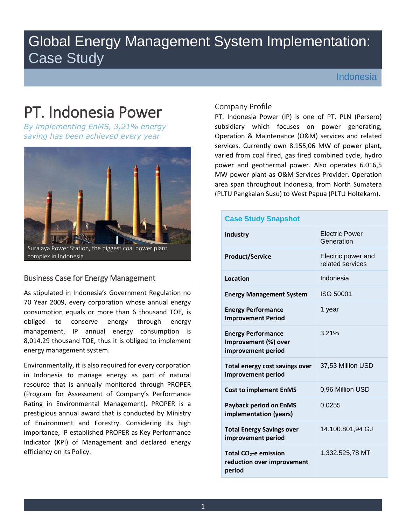# Global Energy Management System Implementation: Case Study

Indonesia

# PT. Indonesia Power

*By implementing EnMS, 3,21% energy saving has been achieved every year*



# Business Case for Energy Management

As stipulated in Indonesia's Government Regulation no 70 Year 2009, every corporation whose annual energy consumption equals or more than 6 thousand TOE, is obliged to conserve energy through energy management. IP annual energy consumption is 8,014.29 thousand TOE, thus it is obliged to implement energy management system.

Environmentally, it is also required for every corporation in Indonesia to manage energy as part of natural resource that is annually monitored through PROPER (Program for Assessment of Company's Performance Rating in Environmental Management). PROPER is a prestigious annual award that is conducted by Ministry of Environment and Forestry. Considering its high importance, IP established PROPER as Key Performance Indicator (KPI) of Management and declared energy efficiency on its Policy.

## Company Profile

PT. Indonesia Power (IP) is one of PT. PLN (Persero) subsidiary which focuses on power generating, Operation & Maintenance (O&M) services and related services. Currently own 8.155,06 MW of power plant, varied from coal fired, gas fired combined cycle, hydro power and geothermal power. Also operates 6.016,5 MW power plant as O&M Services Provider. Operation area span throughout Indonesia, from North Sumatera (PLTU Pangkalan Susu) to West Papua (PLTU Holtekam).

| <b>Case Study Snapshot</b>                                                |                                        |  |  |  |
|---------------------------------------------------------------------------|----------------------------------------|--|--|--|
| <b>Industry</b>                                                           | <b>Electric Power</b><br>Generation    |  |  |  |
| <b>Product/Service</b>                                                    | Electric power and<br>related services |  |  |  |
| Location                                                                  | Indonesia                              |  |  |  |
| <b>Energy Management System</b>                                           | ISO 50001                              |  |  |  |
| <b>Energy Performance</b><br><b>Improvement Period</b>                    | 1 year                                 |  |  |  |
| <b>Energy Performance</b><br>Improvement (%) over<br>improvement period   | 3,21%                                  |  |  |  |
| Total energy cost savings over<br>improvement period                      | 37,53 Million USD                      |  |  |  |
| <b>Cost to implement EnMS</b>                                             | 0,96 Million USD                       |  |  |  |
| <b>Payback period on EnMS</b><br>implementation (years)                   | 0,0255                                 |  |  |  |
| <b>Total Energy Savings over</b><br>improvement period                    | 14.100.801,94 GJ                       |  |  |  |
| Total CO <sub>2</sub> -e emission<br>reduction over improvement<br>period | 1.332.525,78 MT                        |  |  |  |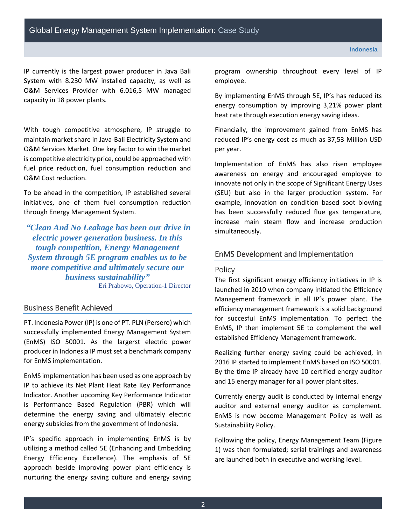IP currently is the largest power producer in Java Bali System with 8.230 MW installed capacity, as well as O&M Services Provider with 6.016,5 MW managed capacity in 18 power plants.

With tough competitive atmosphere, IP struggle to maintain market share in Java-Bali Electricity System and O&M Services Market. One key factor to win the market is competitive electricity price, could be approached with fuel price reduction, fuel consumption reduction and O&M Cost reduction.

To be ahead in the competition, IP established several initiatives, one of them fuel consumption reduction through Energy Management System.

*"Clean And No Leakage has been our drive in electric power generation business. In this tough competition, Energy Management System through 5E program enables us to be more competitive and ultimately secure our business sustainability"* —Eri Prabowo, Operation-1 Director

# Business Benefit Achieved

PT. Indonesia Power (IP) is one of PT. PLN (Persero) which successfully implemented Energy Management System (EnMS) ISO 50001. As the largerst electric power producer in Indonesia IP must set a benchmark company for EnMS implementation.

EnMS implementation has been used as one approach by IP to achieve its Net Plant Heat Rate Key Performance Indicator. Another upcoming Key Performance Indicator is Performance Based Regulation (PBR) which will determine the energy saving and ultimately electric energy subsidies from the government of Indonesia.

IP's specific approach in implementing EnMS is by utilizing a method called 5E (Enhancing and Embedding Energy Efficiency Excellence). The emphasis of 5E approach beside improving power plant efficiency is nurturing the energy saving culture and energy saving

program ownership throughout every level of IP employee.

By implementing EnMS through 5E, IP's has reduced its energy consumption by improving 3,21% power plant heat rate through execution energy saving ideas.

Financially, the improvement gained from EnMS has reduced IP's energy cost as much as 37,53 Million USD per year.

Implementation of EnMS has also risen employee awareness on energy and encouraged employee to innovate not only in the scope of Significant Energy Uses (SEU) but also in the larger production system. For example, innovation on condition based soot blowing has been successfully reduced flue gas temperature, increase main steam flow and increase production simultaneously.

### EnMS Development and Implementation

#### Policy

The first significant energy efficiency initiatives in IP is launched in 2010 when company initiated the Efficiency Management framework in all IP's power plant. The efficiency management framework is a solid background for succesful EnMS implementation. To perfect the EnMS, IP then implement 5E to complement the well established Efficiency Management framework.

Realizing further energy saving could be achieved, in 2016 IP started to implement EnMS based on ISO 50001. By the time IP already have 10 certified energy auditor and 15 energy manager for all power plant sites.

Currently energy audit is conducted by internal energy auditor and external energy auditor as complement. EnMS is now become Management Policy as well as Sustainability Policy.

Following the policy, Energy Management Team [\(Figure](#page-2-0)  [1\)](#page-2-0) was then formulated; serial trainings and awareness are launched both in executive and working level.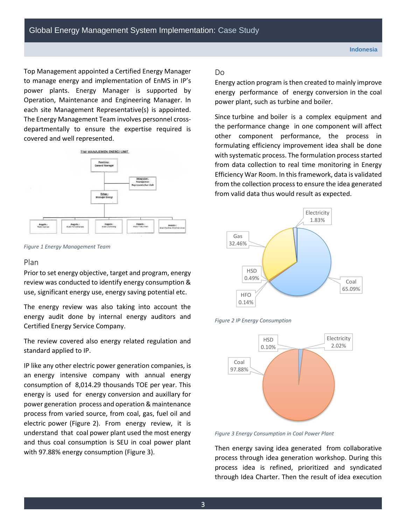Top Management appointed a Certified Energy Manager to manage energy and implementation of EnMS in IP's power plants. Energy Manager is supported by Operation, Maintenance and Engineering Manager. In each site Management Representative(s) is appointed. The Energy Management Team involves personnel crossdepartmentally to ensure the expertise required is covered and well represented.



<span id="page-2-0"></span>*Figure 1 Energy Management Team*

#### Plan

Prior to set energy objective, target and program, energy review was conducted to identify energy consumption & use, significant energy use, energy saving potential etc.

The energy review was also taking into account the energy audit done by internal energy auditors and Certified Energy Service Company.

The review covered also energy related regulation and standard applied to IP.

IP like any other electric power generation companies, is an energy intensive company with annual energy consumption of 8,014.29 thousands TOE per year. This energy is used for energy conversion and auxillary for power generation process and operation & maintenance process from varied source, from coal, gas, fuel oil and electric power [\(Figure 2\)](#page-2-1). From energy review, it is understand that coal power plant used the most energy and thus coal consumption is SEU in coal power plant with 97.88% energy consumption [\(Figure 3\)](#page-2-2).

#### Do

Energy action program is then created to mainly improve energy performance of energy conversion in the coal power plant, such as turbine and boiler.

Since turbine and boiler is a complex equipment and the performance change in one component will affect other component performance, the process in formulating efficiency improvement idea shall be done with systematic process. The formulation process started from data collection to real time monitoring in Energy Efficiency War Room. In this framework, data is validated from the collection process to ensure the idea generated from valid data thus would result as expected.



<span id="page-2-1"></span>



<span id="page-2-2"></span>*Figure 3 Energy Consumption in Coal Power Plant*

Then energy saving idea generated from collaborative process through idea generation workshop. During this process idea is refined, prioritized and syndicated through Idea Charter. Then the result of idea execution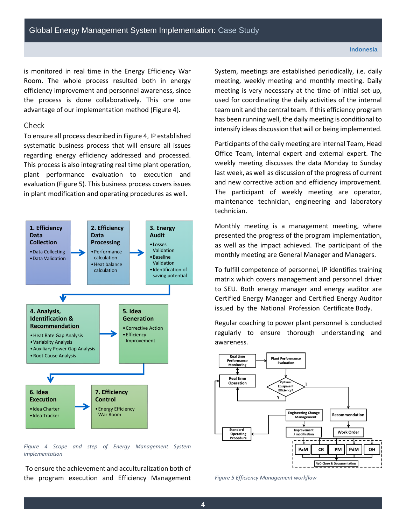is monitored in real time in the Energy Efficiency War Room. The whole process resulted both in energy efficiency improvement and personnel awareness, since the process is done collaboratively. This one one advantage of our implementation method [\(Figure 4\)](#page-3-0).

#### Check

To ensure all process described i[n Figure 4,](#page-3-0) IP established systematic business process that will ensure all issues regarding energy efficiency addressed and processed. This process is also integrating real time plant operation, plant performance evaluation to execution and evaluation [\(Figure 5\)](#page-3-1). This business process covers issues in plant modification and operating procedures as well.



<span id="page-3-0"></span>*Figure 4 Scope and step of Energy Management System implementation*

To ensure the achievement and acculturalization both of the program execution and Efficiency Management System, meetings are established periodically, i.e. daily meeting, weekly meeting and monthly meeting. Daily meeting is very necessary at the time of initial set-up, used for coordinating the daily activities of the internal team unit and the central team. If this efficiency program has been running well, the daily meeting is conditional to intensify ideas discussion that will or being implemented.

Participants of the daily meeting are internal Team, Head Office Team, internal expert and external expert. The weekly meeting discusses the data Monday to Sunday last week, as well as discussion of the progress of current and new corrective action and efficiency improvement. The participant of weekly meeting are operator, maintenance technician, engineering and laboratory technician.

Monthly meeting is a management meeting, where presented the progress of the program implementation, as well as the impact achieved. The participant of the monthly meeting are General Manager and Managers.

To fulfill competence of personnel, IP identifies training matrix which covers management and personnel driver to SEU. Both energy manager and energy auditor are Certified Energy Manager and Certified Energy Auditor issued by the National Profession Certificate Body.

Regular coaching to power plant personnel is conducted regularly to ensure thorough understanding and awareness.



<span id="page-3-1"></span>*Figure 5 Efficiency Management workflow*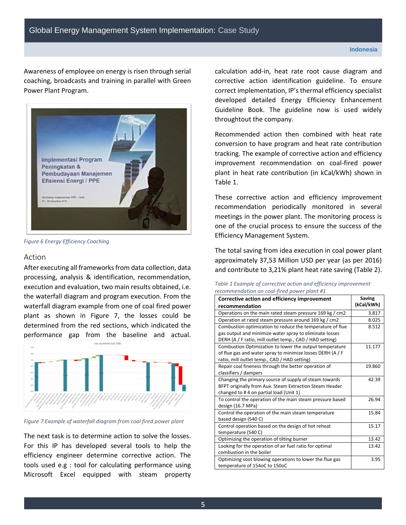Awareness of employee on energy is risen through serial coaching, broadcasts and training in parallel with Green Power Plant Program.



*Figure 6 Energy Efficiency Coaching*

#### Action

After executing all frameworks from data collection, data processing, analysis & identification, recommendation, execution and evaluation, two main results obtained, i.e. the waterfall diagram and program execution. From the waterfall diagram example from one of coal fired power plant as shown in [Figure 7,](#page-4-0) the losses could be determined from the red sections, which indicated the performance gap from the baseline and actual.



<span id="page-4-0"></span>*Figure 7 Example of waterfall diagram from coal fired power plant*

The next task is to determine action to solve the losses. For this IP has developed several tools to help the efficiency engineer determine corrective action. The tools used e.g : tool for calculating performance using Microsoft Excel equipped with steam property

calculation add-in, heat rate root cause diagram and corrective action identification guideline. To ensure correct implementation, IP's thermal efficiency specialist developed detailed Energy Efficiency Enhancement Guideline Book. The guideline now is used widely throughtout the company.

Recommended action then combined with heat rate conversion to have program and heat rate contribution tracking. The example of corrective action and efficiency improvement recommendation on coal-fired power plant in heat rate contribution (in kCal/kWh) shown in [Table 1.](#page-4-1)

These corrective action and efficiency improvement recommendation periodically monitored in several meetings in the power plant. The monitoring process is one of the crucial process to ensure the success of the Efficiency Management System.

The total saving from idea execution in coal power plant approximately 37,53 Million USD per year (as per 2016) and contribute to 3,21% plant heat rate saving [\(Table 2\)](#page-5-0).

<span id="page-4-1"></span>

| Table 1 Example of corrective action and efficiency improvement |  |
|-----------------------------------------------------------------|--|
| recommendation on coal-fired power plant #1                     |  |

| Corrective action and efficiency improvement               | Saving     |
|------------------------------------------------------------|------------|
| recommendation                                             | (kCal/kWh) |
| Operations on the main rated steam pressure 169 kg / cm2   | 3.817      |
| Operation at rated steam pressure around 169 kg / cm2      | 8.025      |
| Combustion optimization to reduce the temperature of flue  | 8.512      |
| gas output and minimize water spray to eliminate losses    |            |
| DERH (A / F ratio, mill outlet temp., CAD / HAD setting)   |            |
| Combustion Optimization to lower the output temperature    | 11.177     |
| of flue gas and water spray to minimize losses DERH (A / F |            |
| ratio, mill outlet temp., CAD / HAD setting)               |            |
| Repair coal fineness through the better operation of       | 19.860     |
| classifiers / dampers                                      |            |
| Changing the primary source of supply of steam towards     | 42.39      |
| BFPT originally from Aux. Steam Extraction Steam Header    |            |
| changed to #4 on partial load (Unit 1)                     |            |
| To control the operation of the main steam pressure based  | 26.94      |
| design (16.7 MPa)                                          |            |
| Control the operation of the main steam temperature        | 15.84      |
| based design (540 C)                                       |            |
| Control operation based on the design of hot reheat        | 15.17      |
| temperature (540 C)                                        |            |
| Optimizing the operation of tilting burner                 | 13.42      |
| Looking for the operation of air fuel ratio for optimal    | 13.42      |
| combustion in the boiler                                   |            |
| Optimizing soot blowing operations to lower the flue gas   | 3.95       |
| temperature of 154oC to 150oC                              |            |